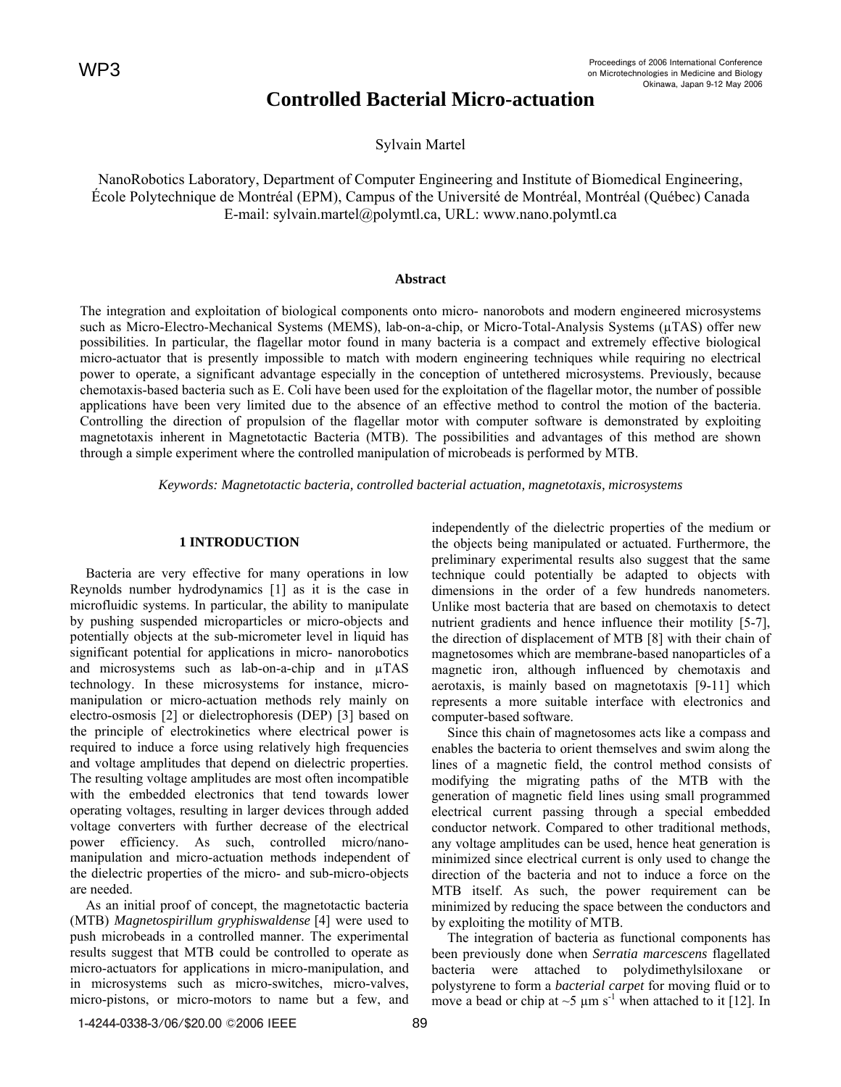# **Controlled Bacterial Micro-actuation**

Sylvain Martel

NanoRobotics Laboratory, Department of Computer Engineering and Institute of Biomedical Engineering, École Polytechnique de Montréal (EPM), Campus of the Université de Montréal, Montréal (Québec) Canada E-mail: sylvain.martel@polymtl.ca, URL: www.nano.polymtl.ca

## **Abstract**

The integration and exploitation of biological components onto micro- nanorobots and modern engineered microsystems such as Micro-Electro-Mechanical Systems (MEMS), lab-on-a-chip, or Micro-Total-Analysis Systems (µTAS) offer new possibilities. In particular, the flagellar motor found in many bacteria is a compact and extremely effective biological micro-actuator that is presently impossible to match with modern engineering techniques while requiring no electrical power to operate, a significant advantage especially in the conception of untethered microsystems. Previously, because chemotaxis-based bacteria such as E. Coli have been used for the exploitation of the flagellar motor, the number of possible applications have been very limited due to the absence of an effective method to control the motion of the bacteria. Controlling the direction of propulsion of the flagellar motor with computer software is demonstrated by exploiting magnetotaxis inherent in Magnetotactic Bacteria (MTB). The possibilities and advantages of this method are shown through a simple experiment where the controlled manipulation of microbeads is performed by MTB.

*Keywords: Magnetotactic bacteria, controlled bacterial actuation, magnetotaxis, microsystems* 

# **1 INTRODUCTION**

Bacteria are very effective for many operations in low Reynolds number hydrodynamics [1] as it is the case in microfluidic systems. In particular, the ability to manipulate by pushing suspended microparticles or micro-objects and potentially objects at the sub-micrometer level in liquid has significant potential for applications in micro- nanorobotics and microsystems such as lab-on-a-chip and in µTAS technology. In these microsystems for instance, micromanipulation or micro-actuation methods rely mainly on electro-osmosis [2] or dielectrophoresis (DEP) [3] based on the principle of electrokinetics where electrical power is required to induce a force using relatively high frequencies and voltage amplitudes that depend on dielectric properties. The resulting voltage amplitudes are most often incompatible with the embedded electronics that tend towards lower operating voltages, resulting in larger devices through added voltage converters with further decrease of the electrical power efficiency. As such, controlled micro/nanomanipulation and micro-actuation methods independent of the dielectric properties of the micro- and sub-micro-objects are needed. **Controlled Bacter**<br>
Sylvain NanoRobotics Laboratory, Department of Computer Especies Newtoning<br>
Sylvain NanoRobotics Laboratory, Department of Computer Especies Newton-<br>
E-mail: sylvain.martel@polymetl.<br> **Abstr** the inte

As an initial proof of concept, the magnetotactic bacteria (MTB) *Magnetospirillum gryphiswaldense* [4] were used to push microbeads in a controlled manner. The experimental results suggest that MTB could be controlled to operate as micro-actuators for applications in micro-manipulation, and in microsystems such as micro-switches, micro-valves, micro-pistons, or micro-motors to name but a few, and

independently of the dielectric properties of the medium or the objects being manipulated or actuated. Furthermore, the preliminary experimental results also suggest that the same technique could potentially be adapted to objects with dimensions in the order of a few hundreds nanometers. Unlike most bacteria that are based on chemotaxis to detect nutrient gradients and hence influence their motility [5-7], the direction of displacement of MTB [8] with their chain of magnetosomes which are membrane-based nanoparticles of a magnetic iron, although influenced by chemotaxis and aerotaxis, is mainly based on magnetotaxis [9-11] which represents a more suitable interface with electronics and computer-based software.

Since this chain of magnetosomes acts like a compass and enables the bacteria to orient themselves and swim along the lines of a magnetic field, the control method consists of modifying the migrating paths of the MTB with the generation of magnetic field lines using small programmed electrical current passing through a special embedded conductor network. Compared to other traditional methods, any voltage amplitudes can be used, hence heat generation is minimized since electrical current is only used to change the direction of the bacteria and not to induce a force on the MTB itself. As such, the power requirement can be minimized by reducing the space between the conductors and by exploiting the motility of MTB.

 The integration of bacteria as functional components has been previously done when *Serratia marcescens* flagellated bacteria were attached to polydimethylsiloxane or polystyrene to form a *bacterial carpet* for moving fluid or to move a bead or chip at  $\sim$ 5  $\mu$ m s<sup>-1</sup> when attached to it [12]. In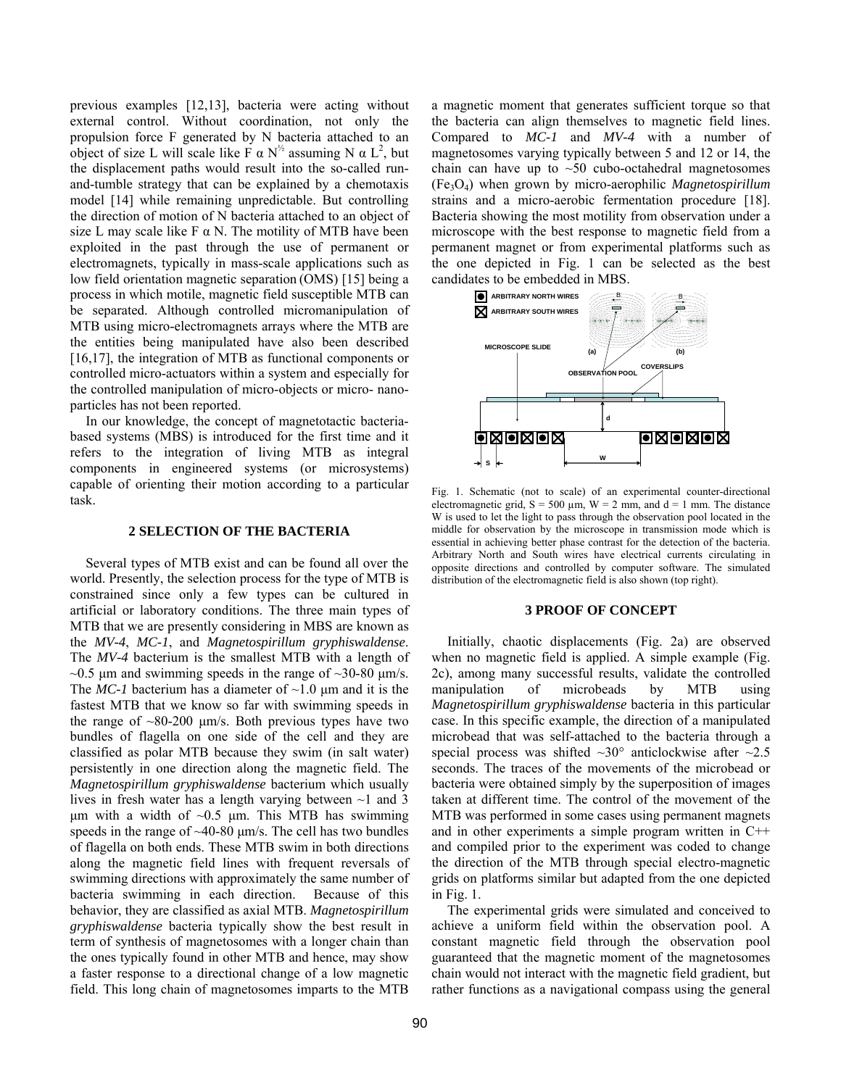previous examples [12,13], bacteria were acting without external control. Without coordination, not only the propulsion force F generated by N bacteria attached to an object of size L will scale like F  $\alpha$  N<sup>1/2</sup> assuming N  $\alpha$  L<sup>2</sup>, but the displacement paths would result into the so-called runand-tumble strategy that can be explained by a chemotaxis model [14] while remaining unpredictable. But controlling the direction of motion of N bacteria attached to an object of size L may scale like F  $\alpha$  N. The motility of MTB have been exploited in the past through the use of permanent or electromagnets, typically in mass-scale applications such as low field orientation magnetic separation (OMS) [15] being a process in which motile, magnetic field susceptible MTB can be separated. Although controlled micromanipulation of MTB using micro-electromagnets arrays where the MTB are the entities being manipulated have also been described [16,17], the integration of MTB as functional components or controlled micro-actuators within a system and especially for the controlled manipulation of micro-objects or micro- nanoparticles has not been reported.

 In our knowledge, the concept of magnetotactic bacteriabased systems (MBS) is introduced for the first time and it refers to the integration of living MTB as integral components in engineered systems (or microsystems) capable of orienting their motion according to a particular task.

### **2 SELECTION OF THE BACTERIA**

 Several types of MTB exist and can be found all over the world. Presently, the selection process for the type of MTB is constrained since only a few types can be cultured in artificial or laboratory conditions. The three main types of MTB that we are presently considering in MBS are known as the *MV-4*, *MC-1*, and *Magnetospirillum gryphiswaldense*. The *MV-4* bacterium is the smallest MTB with a length of  $\sim$ 0.5 um and swimming speeds in the range of  $\sim$ 30-80 um/s. The *MC-1* bacterium has a diameter of  $\sim$ 1.0  $\mu$ m and it is the fastest MTB that we know so far with swimming speeds in the range of  $\sim 80-200$  µm/s. Both previous types have two bundles of flagella on one side of the cell and they are classified as polar MTB because they swim (in salt water) persistently in one direction along the magnetic field. The *Magnetospirillum gryphiswaldense* bacterium which usually lives in fresh water has a length varying between  $\sim$ 1 and 3  $\mu$ m with a width of ~0.5  $\mu$ m. This MTB has swimming speeds in the range of ~40-80  $\mu$ m/s. The cell has two bundles of flagella on both ends. These MTB swim in both directions along the magnetic field lines with frequent reversals of swimming directions with approximately the same number of bacteria swimming in each direction. Because of this behavior, they are classified as axial MTB. *Magnetospirillum gryphiswaldense* bacteria typically show the best result in term of synthesis of magnetosomes with a longer chain than the ones typically found in other MTB and hence, may show a faster response to a directional change of a low magnetic field. This long chain of magnetosomes imparts to the MTB

a magnetic moment that generates sufficient torque so that the bacteria can align themselves to magnetic field lines. Compared to *MC-1* and *MV-4* with a number of magnetosomes varying typically between 5 and 12 or 14, the chain can have up to  $\sim 50$  cubo-octahedral magnetosomes (Fe3O4) when grown by micro-aerophilic *Magnetospirillum* strains and a micro-aerobic fermentation procedure [18]. Bacteria showing the most motility from observation under a microscope with the best response to magnetic field from a permanent magnet or from experimental platforms such as the one depicted in Fig. 1 can be selected as the best candidates to be embedded in MBS.



Fig. 1. Schematic (not to scale) of an experimental counter-directional electromagnetic grid,  $S = 500 \mu m$ ,  $W = 2 \mu m$ , and  $d = 1 \mu m$ . The distance W is used to let the light to pass through the observation pool located in the middle for observation by the microscope in transmission mode which is essential in achieving better phase contrast for the detection of the bacteria. Arbitrary North and South wires have electrical currents circulating in opposite directions and controlled by computer software. The simulated distribution of the electromagnetic field is also shown (top right).

## **3 PROOF OF CONCEPT**

 Initially, chaotic displacements (Fig. 2a) are observed when no magnetic field is applied. A simple example (Fig. 2c), among many successful results, validate the controlled manipulation of microbeads by MTB using *Magnetospirillum gryphiswaldense* bacteria in this particular case. In this specific example, the direction of a manipulated microbead that was self-attached to the bacteria through a special process was shifted  $\sim 30^{\circ}$  anticlockwise after  $\sim 2.5$ seconds. The traces of the movements of the microbead or bacteria were obtained simply by the superposition of images taken at different time. The control of the movement of the MTB was performed in some cases using permanent magnets and in other experiments a simple program written in C++ and compiled prior to the experiment was coded to change the direction of the MTB through special electro-magnetic grids on platforms similar but adapted from the one depicted in Fig. 1.

 The experimental grids were simulated and conceived to achieve a uniform field within the observation pool. A constant magnetic field through the observation pool guaranteed that the magnetic moment of the magnetosomes chain would not interact with the magnetic field gradient, but rather functions as a navigational compass using the general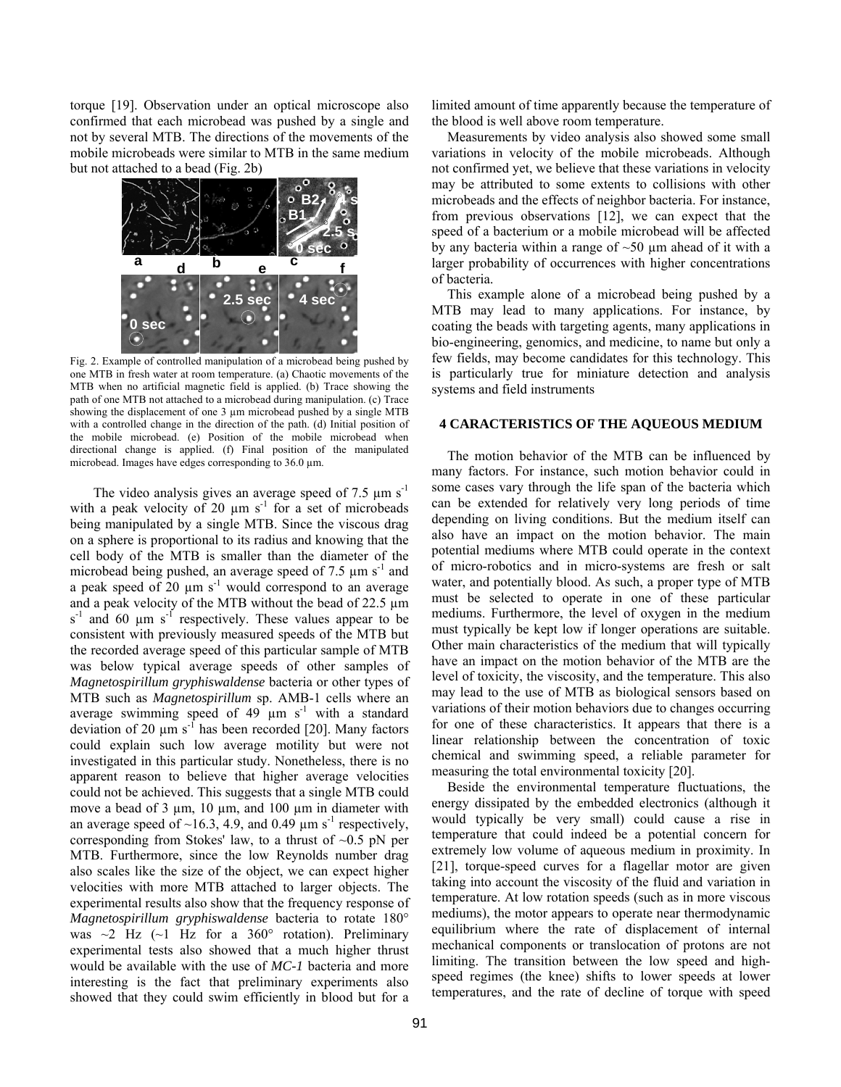torque [19]. Observation under an optical microscope also confirmed that each microbead was pushed by a single and not by several MTB. The directions of the movements of the mobile microbeads were similar to MTB in the same medium but not attached to a bead (Fig. 2b)



Fig. 2. Example of controlled manipulation of a microbead being pushed by one MTB in fresh water at room temperature. (a) Chaotic movements of the MTB when no artificial magnetic field is applied. (b) Trace showing the path of one MTB not attached to a microbead during manipulation. (c) Trace showing the displacement of one 3  $\mu$ m microbead pushed by a single MTB with a controlled change in the direction of the path. (d) Initial position of the mobile microbead. (e) Position of the mobile microbead when directional change is applied. (f) Final position of the manipulated microbead. Images have edges corresponding to 36.0  $\mu$ m.

The video analysis gives an average speed of 7.5  $\mu$ m s<sup>-1</sup> with a peak velocity of 20  $\mu$ m s<sup>-1</sup> for a set of microbeads being manipulated by a single MTB. Since the viscous drag on a sphere is proportional to its radius and knowing that the cell body of the MTB is smaller than the diameter of the microbead being pushed, an average speed of 7.5  $\mu$ m s<sup>-1</sup> and a peak speed of  $20 \mu m s^{-1}$  would correspond to an average and a peak velocity of the MTB without the bead of 22.5 µm  $s^{-1}$  and 60 µm  $s^{-1}$  respectively. These values appear to be consistent with previously measured speeds of the MTB but the recorded average speed of this particular sample of MTB was below typical average speeds of other samples of *Magnetospirillum gryphiswaldense* bacteria or other types of MTB such as *Magnetospirillum* sp. AMB-1 cells where an average swimming speed of 49  $\mu$ m s<sup>-1</sup> with a standard deviation of 20  $\mu$ m s<sup>-1</sup> has been recorded [20]. Many factors could explain such low average motility but were not investigated in this particular study. Nonetheless, there is no apparent reason to believe that higher average velocities could not be achieved. This suggests that a single MTB could move a bead of 3 μm, 10 μm, and 100 μm in diameter with an average speed of  $\sim$ 16.3, 4.9, and 0.49  $\mu$ m s<sup>-1</sup> respectively, corresponding from Stokes' law, to a thrust of  $\sim 0.5$  pN per MTB. Furthermore, since the low Reynolds number drag also scales like the size of the object, we can expect higher velocities with more MTB attached to larger objects. The experimental results also show that the frequency response of *Magnetospirillum gryphiswaldense* bacteria to rotate 180° was  $\sim$ 2 Hz ( $\sim$ 1 Hz for a 360° rotation). Preliminary experimental tests also showed that a much higher thrust would be available with the use of *MC-1* bacteria and more interesting is the fact that preliminary experiments also showed that they could swim efficiently in blood but for a

limited amount of time apparently because the temperature of the blood is well above room temperature.

 Measurements by video analysis also showed some small variations in velocity of the mobile microbeads. Although not confirmed yet, we believe that these variations in velocity may be attributed to some extents to collisions with other microbeads and the effects of neighbor bacteria. For instance, from previous observations [12], we can expect that the speed of a bacterium or a mobile microbead will be affected by any bacteria within a range of  $~50 \mu m$  ahead of it with a larger probability of occurrences with higher concentrations of bacteria.

 This example alone of a microbead being pushed by a MTB may lead to many applications. For instance, by coating the beads with targeting agents, many applications in bio-engineering, genomics, and medicine, to name but only a few fields, may become candidates for this technology. This is particularly true for miniature detection and analysis systems and field instruments

# **4 CARACTERISTICS OF THE AQUEOUS MEDIUM**

 The motion behavior of the MTB can be influenced by many factors. For instance, such motion behavior could in some cases vary through the life span of the bacteria which can be extended for relatively very long periods of time depending on living conditions. But the medium itself can also have an impact on the motion behavior. The main potential mediums where MTB could operate in the context of micro-robotics and in micro-systems are fresh or salt water, and potentially blood. As such, a proper type of MTB must be selected to operate in one of these particular mediums. Furthermore, the level of oxygen in the medium must typically be kept low if longer operations are suitable. Other main characteristics of the medium that will typically have an impact on the motion behavior of the MTB are the level of toxicity, the viscosity, and the temperature. This also may lead to the use of MTB as biological sensors based on variations of their motion behaviors due to changes occurring for one of these characteristics. It appears that there is a linear relationship between the concentration of toxic chemical and swimming speed, a reliable parameter for measuring the total environmental toxicity [20].

 Beside the environmental temperature fluctuations, the energy dissipated by the embedded electronics (although it would typically be very small) could cause a rise in temperature that could indeed be a potential concern for extremely low volume of aqueous medium in proximity. In [21], torque-speed curves for a flagellar motor are given taking into account the viscosity of the fluid and variation in temperature. At low rotation speeds (such as in more viscous mediums), the motor appears to operate near thermodynamic equilibrium where the rate of displacement of internal mechanical components or translocation of protons are not limiting. The transition between the low speed and highspeed regimes (the knee) shifts to lower speeds at lower temperatures, and the rate of decline of torque with speed